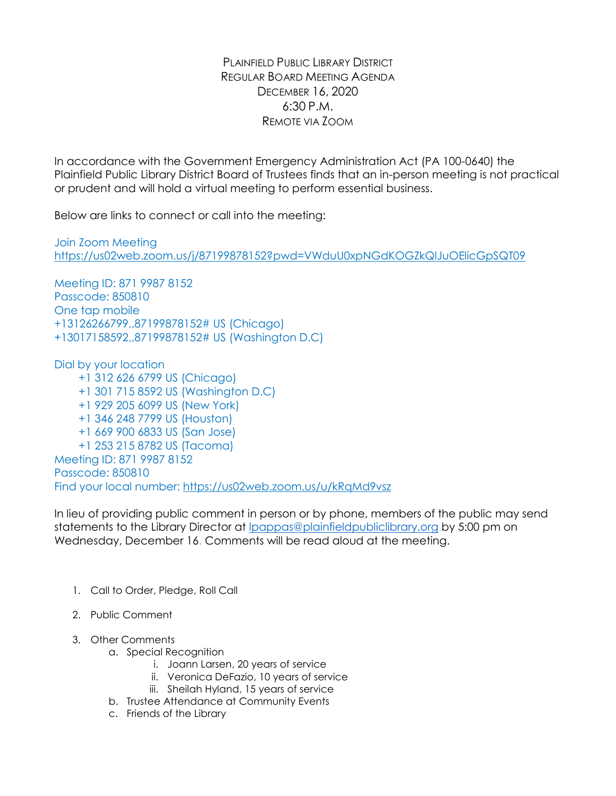PLAINFIELD PUBLIC LIBRARY DISTRICT REGULAR BOARD MEETING AGENDA DECEMBER 16, 2020 6:30 P.M. REMOTE VIA ZOOM

In accordance with the Government Emergency Administration Act (PA 100-0640) the Plainfield Public Library District Board of Trustees finds that an in-person meeting is not practical or prudent and will hold a virtual meeting to perform essential business.

Below are links to connect or call into the meeting:

Join Zoom Meeting <https://us02web.zoom.us/j/87199878152?pwd=VWduU0xpNGdKOGZkQlJuOElicGpSQT09>

Meeting ID: 871 9987 8152 Passcode: 850810 One tap mobile +13126266799,,87199878152# US (Chicago) +13017158592,,87199878152# US (Washington D.C)

Dial by your location

+1 312 626 6799 US (Chicago) +1 301 715 8592 US (Washington D.C) +1 929 205 6099 US (New York) +1 346 248 7799 US (Houston) +1 669 900 6833 US (San Jose) +1 253 215 8782 US (Tacoma) Meeting ID: 871 9987 8152 Passcode: 850810 Find your local number: <https://us02web.zoom.us/u/kRqMd9vsz>

In lieu of providing public comment in person or by phone, members of the public may send statements to the Library Director at Ipappas@plainfieldpubliclibrary.org by 5:00 pm on Wednesday, December 16. Comments will be read aloud at the meeting.

- 1. Call to Order, Pledge, Roll Call
- 2. Public Comment
- 3. Other Comments
	- a. Special Recognition
		- i. Joann Larsen, 20 years of service
		- ii. Veronica DeFazio, 10 years of service
		- iii. Sheilah Hyland, 15 years of service
	- b. Trustee Attendance at Community Events
	- c. Friends of the Library